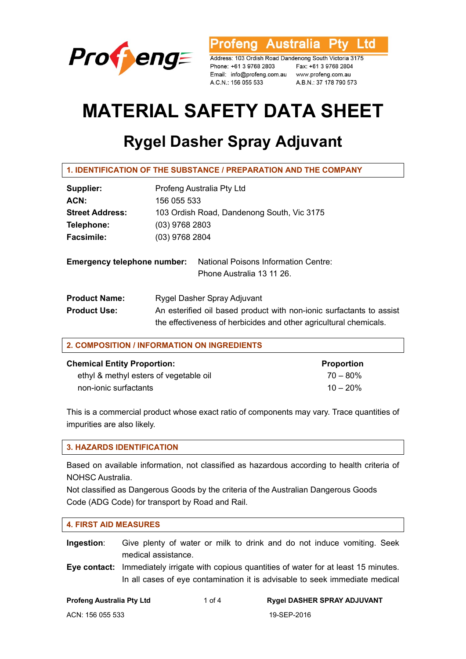

ofeng Australia l td

Address: 103 Ordish Road Dandenong South Victoria 3175 Phone: +61 3 9768 2803 Email: info@profeng.com.au www.profeng.com.au A.C.N.: 156 055 533

Fax: +61 3 9768 2804 A.B.N.: 37 178 790 573

# **MATERIAL SAFETY DATA SHEET**

# **Rygel Dasher Spray Adjuvant**

| 1. IDENTIFICATION OF THE SUBSTANCE / PREPARATION AND THE COMPANY |
|------------------------------------------------------------------|
|                                                                  |

| Supplier:                          | Profeng Australia Pty Ltd                                                                                                                 |  |  |
|------------------------------------|-------------------------------------------------------------------------------------------------------------------------------------------|--|--|
| ACN:                               | 156 055 533                                                                                                                               |  |  |
| <b>Street Address:</b>             | 103 Ordish Road, Dandenong South, Vic 3175                                                                                                |  |  |
| Telephone:                         | $(03)$ 9768 2803                                                                                                                          |  |  |
| <b>Facsimile:</b>                  | $(03)$ 9768 2804                                                                                                                          |  |  |
| <b>Emergency telephone number:</b> | National Poisons Information Centre:<br>Phone Australia 13 11 26.                                                                         |  |  |
| <b>Product Name:</b>               | Rygel Dasher Spray Adjuvant                                                                                                               |  |  |
| <b>Product Use:</b>                | An esterified oil based product with non-ionic surfactants to assist<br>the effectiveness of herbicides and other agricultural chemicals. |  |  |

| 2. COMPOSITION / INFORMATION ON INGREDIENTS |                   |  |  |  |
|---------------------------------------------|-------------------|--|--|--|
| <b>Chemical Entity Proportion:</b>          | <b>Proportion</b> |  |  |  |
| ethyl & methyl esters of vegetable oil      | $70 - 80\%$       |  |  |  |
| non-ionic surfactants                       | $10 - 20%$        |  |  |  |

This is a commercial product whose exact ratio of components may vary. Trace quantities of impurities are also likely.

# **3. HAZARDS IDENTIFICATION**

Based on available information, not classified as hazardous according to health criteria of NOHSC Australia.

Not classified as Dangerous Goods by the criteria of the Australian Dangerous Goods Code (ADG Code) for transport by Road and Rail.

#### **4. FIRST AID MEASURES**

**Ingestion**: Give plenty of water or milk to drink and do not induce vomiting. Seek medical assistance.

**Eye contact:** Immediately irrigate with copious quantities of water for at least 15 minutes. In all cases of eye contamination it is advisable to seek immediate medical

| <b>Profeng Australia Pty Ltd</b> |  |  |
|----------------------------------|--|--|
|                                  |  |  |

#### **Profeng Australia Pty Ltd** 1 of 4 **Rygel DASHER SPRAY ADJUVANT**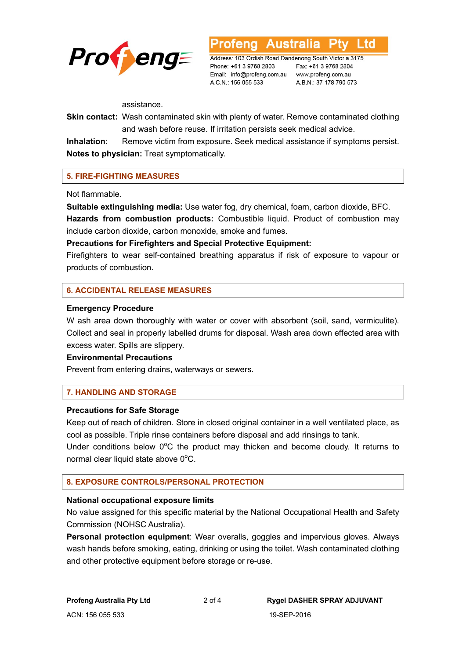

Address: 103 Ordish Road Dandenong South Victoria 3175 Phone: +61 3 9768 2803 Email: info@profeng.com.au www.profeng.com.au A.C.N.: 156 055 533

**Australia** 

Fax: +61 3 9768 2804 A.B.N.: 37 178 790 573

L to

assistance.

**Skin contact:** Wash contaminated skin with plenty of water. Remove contaminated clothing and wash before reuse. If irritation persists seek medical advice.

**Inhalation**: Remove victim from exposure. Seek medical assistance if symptoms persist. **Notes to physician:** Treat symptomatically.

# **5. FIRE-FIGHTING MEASURES**

Not flammable.

**Suitable extinguishing media:** Use water fog, dry chemical, foam, carbon dioxide, BFC. **Hazards from combustion products:** Combustible liquid. Product of combustion may include carbon dioxide, carbon monoxide, smoke and fumes.

#### **Precautions for Firefighters and Special Protective Equipment:**

Firefighters to wear self-contained breathing apparatus if risk of exposure to vapour or products of combustion.

# **6. ACCIDENTAL RELEASE MEASURES**

#### **Emergency Procedure**

W ash area down thoroughly with water or cover with absorbent (soil, sand, vermiculite). Collect and seal in properly labelled drums for disposal. Wash area down effected area with excess water. Spills are slippery.

#### **Environmental Precautions**

Prevent from entering drains, waterways or sewers.

# **7. HANDLING AND STORAGE**

#### **Precautions for Safe Storage**

Keep out of reach of children. Store in closed original container in a well ventilated place, as cool as possible. Triple rinse containers before disposal and add rinsings to tank.

Under conditions below  $0^{\circ}$ C the product may thicken and become cloudy. It returns to normal clear liquid state above  $0^{\circ}$ C.

#### **8. EXPOSURE CONTROLS/PERSONAL PROTECTION**

#### **National occupational exposure limits**

No value assigned for this specific material by the National Occupational Health and Safety Commission (NOHSC Australia).

**Personal protection equipment**: Wear overalls, goggles and impervious gloves. Always wash hands before smoking, eating, drinking or using the toilet. Wash contaminated clothing and other protective equipment before storage or re-use.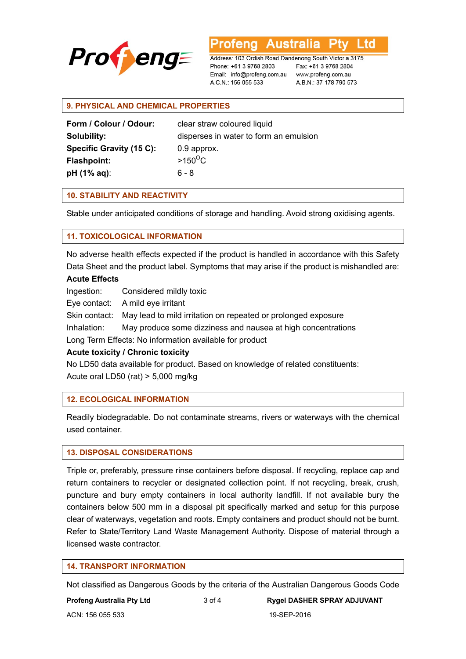

Australia l td rena

Address: 103 Ordish Road Dandenong South Victoria 3175 Phone: +61 3 9768 2803 Email: info@profeng.com.au www.profeng.com.au A.C.N.: 156 055 533

Fax: +61 3 9768 2804 A.B.N.: 37 178 790 573

# **9. PHYSICAL AND CHEMICAL PROPERTIES**

| Form / Colour / Odour:   | clear straw coloured liquid            |
|--------------------------|----------------------------------------|
| Solubility:              | disperses in water to form an emulsion |
| Specific Gravity (15 C): | 0.9 approx.                            |
| <b>Flashpoint:</b>       | $>150^{\circ}$ C                       |
| $pH (1% aq)$ :           | ճ - ጸ                                  |

# **10. STABILITY AND REACTIVITY**

Stable under anticipated conditions of storage and handling. Avoid strong oxidising agents.

# **11. TOXICOLOGICAL INFORMATION**

No adverse health effects expected if the product is handled in accordance with this Safety Data Sheet and the product label. Symptoms that may arise if the product is mishandled are:

# **Acute Effects**

Ingestion: Considered mildly toxic

Eye contact: A mild eye irritant

Skin contact: May lead to mild irritation on repeated or prolonged exposure

Inhalation: May produce some dizziness and nausea at high concentrations

Long Term Effects: No information available for product

#### **Acute toxicity / Chronic toxicity**

No LD50 data available for product. Based on knowledge of related constituents: Acute oral LD50 (rat) > 5,000 mg/kg

# **12. ECOLOGICAL INFORMATION**

Readily biodegradable. Do not contaminate streams, rivers or waterways with the chemical used container.

# **13. DISPOSAL CONSIDERATIONS**

Triple or, preferably, pressure rinse containers before disposal. If recycling, replace cap and return containers to recycler or designated collection point. If not recycling, break, crush, puncture and bury empty containers in local authority landfill. If not available bury the containers below 500 mm in a disposal pit specifically marked and setup for this purpose clear of waterways, vegetation and roots. Empty containers and product should not be burnt. Refer to State/Territory Land Waste Management Authority. Dispose of material through a licensed waste contractor.

#### **14. TRANSPORT INFORMATION**

Not classified as Dangerous Goods by the criteria of the Australian Dangerous Goods Code